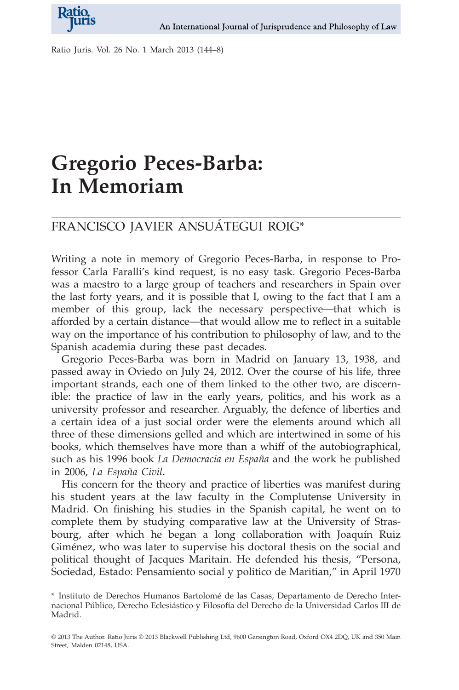Ratio Juris. Vol. 26 No. 1 March 2013 (144–8)

## **Gregorio Peces-Barba: In Memoriam**

## FRANCISCO JAVIER ANSUÁTEGUI ROIG\*

Writing a note in memory of Gregorio Peces-Barba, in response to Professor Carla Faralli's kind request, is no easy task. Gregorio Peces-Barba was a maestro to a large group of teachers and researchers in Spain over the last forty years, and it is possible that I, owing to the fact that I am a member of this group, lack the necessary perspective—that which is afforded by a certain distance—that would allow me to reflect in a suitable way on the importance of his contribution to philosophy of law, and to the Spanish academia during these past decades.

Gregorio Peces-Barba was born in Madrid on January 13, 1938, and passed away in Oviedo on July 24, 2012. Over the course of his life, three important strands, each one of them linked to the other two, are discernible: the practice of law in the early years, politics, and his work as a university professor and researcher. Arguably, the defence of liberties and a certain idea of a just social order were the elements around which all three of these dimensions gelled and which are intertwined in some of his books, which themselves have more than a whiff of the autobiographical, such as his 1996 book *La Democracia en España* and the work he published in 2006, *La España Civil*.

His concern for the theory and practice of liberties was manifest during his student years at the law faculty in the Complutense University in Madrid. On finishing his studies in the Spanish capital, he went on to complete them by studying comparative law at the University of Strasbourg, after which he began a long collaboration with Joaquín Ruiz Giménez, who was later to supervise his doctoral thesis on the social and political thought of Jacques Maritain. He defended his thesis, "Persona, Sociedad, Estado: Pensamiento social y politico de Maritian," in April 1970

<sup>\*</sup> Instituto de Derechos Humanos Bartolomé de las Casas, Departamento de Derecho Internacional Público, Derecho Eclesiástico y Filosofía del Derecho de la Universidad Carlos III de Madrid.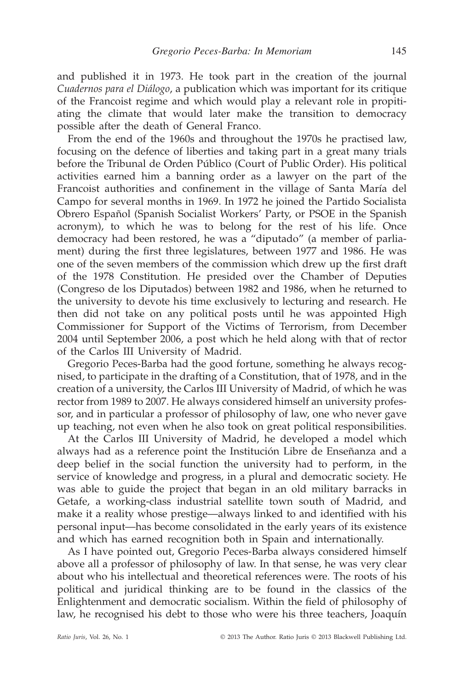and published it in 1973. He took part in the creation of the journal *Cuadernos para el Diálogo*, a publication which was important for its critique of the Francoist regime and which would play a relevant role in propitiating the climate that would later make the transition to democracy possible after the death of General Franco.

From the end of the 1960s and throughout the 1970s he practised law, focusing on the defence of liberties and taking part in a great many trials before the Tribunal de Orden Público (Court of Public Order). His political activities earned him a banning order as a lawyer on the part of the Francoist authorities and confinement in the village of Santa María del Campo for several months in 1969. In 1972 he joined the Partido Socialista Obrero Español (Spanish Socialist Workers' Party, or PSOE in the Spanish acronym), to which he was to belong for the rest of his life. Once democracy had been restored, he was a "diputado" (a member of parliament) during the first three legislatures, between 1977 and 1986. He was one of the seven members of the commission which drew up the first draft of the 1978 Constitution. He presided over the Chamber of Deputies (Congreso de los Diputados) between 1982 and 1986, when he returned to the university to devote his time exclusively to lecturing and research. He then did not take on any political posts until he was appointed High Commissioner for Support of the Victims of Terrorism, from December 2004 until September 2006, a post which he held along with that of rector of the Carlos III University of Madrid.

Gregorio Peces-Barba had the good fortune, something he always recognised, to participate in the drafting of a Constitution, that of 1978, and in the creation of a university, the Carlos III University of Madrid, of which he was rector from 1989 to 2007. He always considered himself an university professor, and in particular a professor of philosophy of law, one who never gave up teaching, not even when he also took on great political responsibilities.

At the Carlos III University of Madrid, he developed a model which always had as a reference point the Institución Libre de Enseñanza and a deep belief in the social function the university had to perform, in the service of knowledge and progress, in a plural and democratic society. He was able to guide the project that began in an old military barracks in Getafe, a working-class industrial satellite town south of Madrid, and make it a reality whose prestige—always linked to and identified with his personal input—has become consolidated in the early years of its existence and which has earned recognition both in Spain and internationally.

As I have pointed out, Gregorio Peces-Barba always considered himself above all a professor of philosophy of law. In that sense, he was very clear about who his intellectual and theoretical references were. The roots of his political and juridical thinking are to be found in the classics of the Enlightenment and democratic socialism. Within the field of philosophy of law, he recognised his debt to those who were his three teachers, Joaquín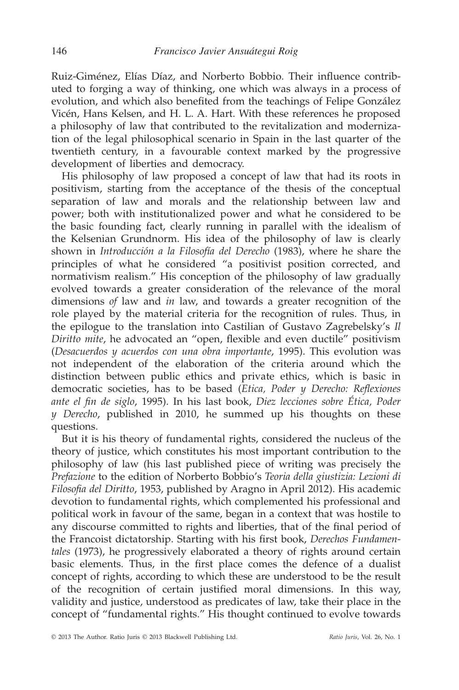Ruiz-Giménez, Elías Díaz, and Norberto Bobbio. Their influence contributed to forging a way of thinking, one which was always in a process of evolution, and which also benefited from the teachings of Felipe González Vicén, Hans Kelsen, and H. L. A. Hart. With these references he proposed a philosophy of law that contributed to the revitalization and modernization of the legal philosophical scenario in Spain in the last quarter of the twentieth century, in a favourable context marked by the progressive development of liberties and democracy.

His philosophy of law proposed a concept of law that had its roots in positivism, starting from the acceptance of the thesis of the conceptual separation of law and morals and the relationship between law and power; both with institutionalized power and what he considered to be the basic founding fact, clearly running in parallel with the idealism of the Kelsenian Grundnorm. His idea of the philosophy of law is clearly shown in *Introducción a la Filosofía del Derecho* (1983), where he share the principles of what he considered "a positivist position corrected, and normativism realism." His conception of the philosophy of law gradually evolved towards a greater consideration of the relevance of the moral dimensions *of* law and *in* law, and towards a greater recognition of the role played by the material criteria for the recognition of rules. Thus, in the epilogue to the translation into Castilian of Gustavo Zagrebelsky's *Il Diritto mite*, he advocated an "open, flexible and even ductile" positivism (*Desacuerdos y acuerdos con una obra importante*, 1995). This evolution was not independent of the elaboration of the criteria around which the distinction between public ethics and private ethics, which is basic in democratic societies, has to be based (*Etica, Poder y Derecho: Reflexiones ante el fin de siglo*, 1995). In his last book, *Diez lecciones sobre Ética, Poder y Derecho*, published in 2010, he summed up his thoughts on these questions.

But it is his theory of fundamental rights, considered the nucleus of the theory of justice, which constitutes his most important contribution to the philosophy of law (his last published piece of writing was precisely the *Prefazione* to the edition of Norberto Bobbio's *Teoria della giustizia: Lezioni di Filosofia del Diritto*, 1953, published by Aragno in April 2012). His academic devotion to fundamental rights, which complemented his professional and political work in favour of the same, began in a context that was hostile to any discourse committed to rights and liberties, that of the final period of the Francoist dictatorship. Starting with his first book, *Derechos Fundamentales* (1973), he progressively elaborated a theory of rights around certain basic elements. Thus, in the first place comes the defence of a dualist concept of rights, according to which these are understood to be the result of the recognition of certain justified moral dimensions. In this way, validity and justice, understood as predicates of law, take their place in the concept of "fundamental rights." His thought continued to evolve towards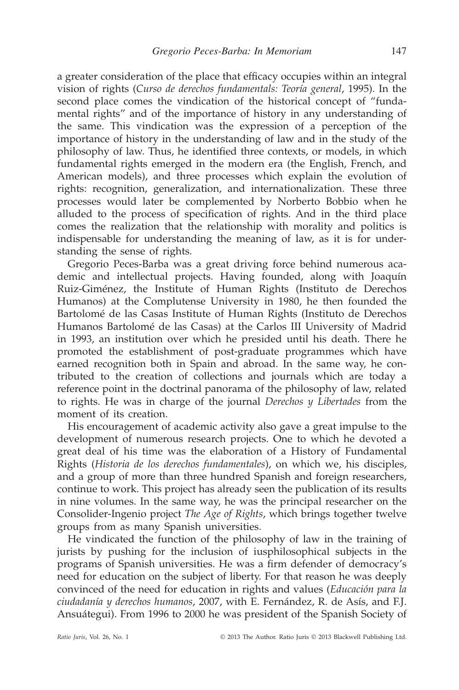a greater consideration of the place that efficacy occupies within an integral vision of rights (*Curso de derechos fundamentals: Teoría general*, 1995). In the second place comes the vindication of the historical concept of "fundamental rights" and of the importance of history in any understanding of the same. This vindication was the expression of a perception of the importance of history in the understanding of law and in the study of the philosophy of law. Thus, he identified three contexts, or models, in which fundamental rights emerged in the modern era (the English, French, and American models), and three processes which explain the evolution of rights: recognition, generalization, and internationalization. These three processes would later be complemented by Norberto Bobbio when he alluded to the process of specification of rights. And in the third place comes the realization that the relationship with morality and politics is indispensable for understanding the meaning of law, as it is for understanding the sense of rights.

Gregorio Peces-Barba was a great driving force behind numerous academic and intellectual projects. Having founded, along with Joaquín Ruiz-Giménez, the Institute of Human Rights (Instituto de Derechos Humanos) at the Complutense University in 1980, he then founded the Bartolomé de las Casas Institute of Human Rights (Instituto de Derechos Humanos Bartolomé de las Casas) at the Carlos III University of Madrid in 1993, an institution over which he presided until his death. There he promoted the establishment of post-graduate programmes which have earned recognition both in Spain and abroad. In the same way, he contributed to the creation of collections and journals which are today a reference point in the doctrinal panorama of the philosophy of law, related to rights. He was in charge of the journal *Derechos y Libertades* from the moment of its creation.

His encouragement of academic activity also gave a great impulse to the development of numerous research projects. One to which he devoted a great deal of his time was the elaboration of a History of Fundamental Rights (*Historia de los derechos fundamentales*), on which we, his disciples, and a group of more than three hundred Spanish and foreign researchers, continue to work. This project has already seen the publication of its results in nine volumes. In the same way, he was the principal researcher on the Consolider-Ingenio project *The Age of Rights*, which brings together twelve groups from as many Spanish universities.

He vindicated the function of the philosophy of law in the training of jurists by pushing for the inclusion of iusphilosophical subjects in the programs of Spanish universities. He was a firm defender of democracy's need for education on the subject of liberty. For that reason he was deeply convinced of the need for education in rights and values (*Educación para la ciudadanía y derechos humanos*, 2007, with E. Fernández, R. de Asís, and F.J. Ansuátegui). From 1996 to 2000 he was president of the Spanish Society of